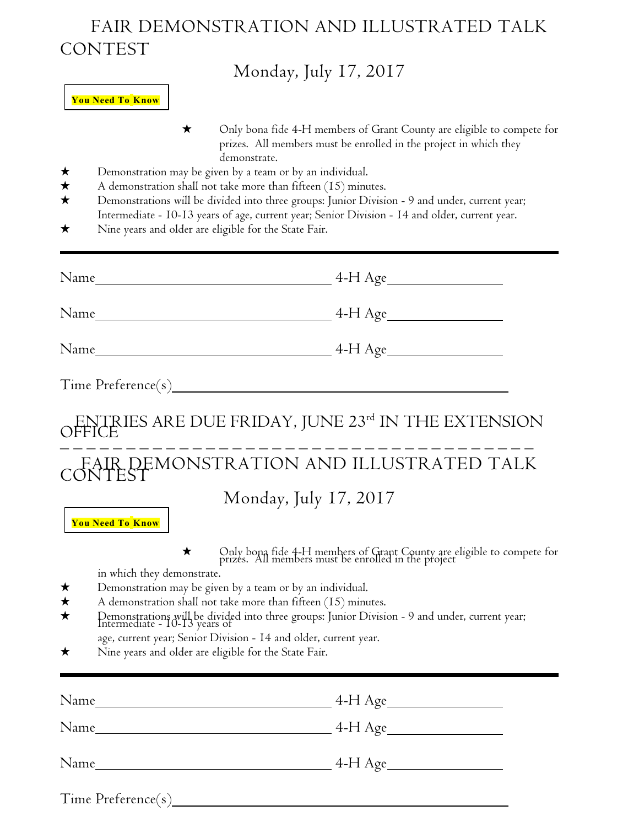## FAIR DEMONSTRATION AND ILLUSTRATED TALK CONTEST

## $M_1$  1  $I_1$   $I_2$   $2017$

|                                    | Monday, July $17, 2017$                                                                                                                                                                                                                                                                                                                                                                                                                                                                                                                                              |  |  |
|------------------------------------|----------------------------------------------------------------------------------------------------------------------------------------------------------------------------------------------------------------------------------------------------------------------------------------------------------------------------------------------------------------------------------------------------------------------------------------------------------------------------------------------------------------------------------------------------------------------|--|--|
|                                    | <b>You Need To Know</b>                                                                                                                                                                                                                                                                                                                                                                                                                                                                                                                                              |  |  |
| ★<br>$\bigstar$<br>★<br>$\star$    | Only bona fide 4-H members of Grant County are eligible to compete for<br>$\star$<br>prizes. All members must be enrolled in the project in which they<br>demonstrate.<br>Demonstration may be given by a team or by an individual.<br>A demonstration shall not take more than fifteen $(15)$ minutes.<br>Demonstrations will be divided into three groups: Junior Division - 9 and under, current year;<br>Intermediate - I0-13 years of age, current year; Senior Division - I4 and older, current year.<br>Nine years and older are eligible for the State Fair. |  |  |
|                                    |                                                                                                                                                                                                                                                                                                                                                                                                                                                                                                                                                                      |  |  |
|                                    |                                                                                                                                                                                                                                                                                                                                                                                                                                                                                                                                                                      |  |  |
|                                    |                                                                                                                                                                                                                                                                                                                                                                                                                                                                                                                                                                      |  |  |
|                                    |                                                                                                                                                                                                                                                                                                                                                                                                                                                                                                                                                                      |  |  |
|                                    | ENTRIES ARE DUE FRIDAY, JUNE 23rd IN THE EXTENSION                                                                                                                                                                                                                                                                                                                                                                                                                                                                                                                   |  |  |
|                                    | CONTEST MONSTRATION AND ILLUSTRATED TALK                                                                                                                                                                                                                                                                                                                                                                                                                                                                                                                             |  |  |
|                                    | Monday, July 17, 2017<br><b>You Need To Know</b>                                                                                                                                                                                                                                                                                                                                                                                                                                                                                                                     |  |  |
| ★<br>$\bigstar$<br>$\bigstar$<br>★ | Only bona fide 4-H members of Grant County are eligible to compete for<br>prizes. All members must be enrolled in the project<br>in which they demonstrate.<br>Demonstration may be given by a team or by an individual.<br>A demonstration shall not take more than fifteen $(15)$ minutes.<br>Demonstrations will be divided into three groups: Junior Division - 9 and under, current year;<br>Intermediate - 10-13 years of<br>age, current year; Senior Division - I4 and older, current year.<br>Nine years and older are eligible for the State Fair.         |  |  |
|                                    |                                                                                                                                                                                                                                                                                                                                                                                                                                                                                                                                                                      |  |  |
|                                    |                                                                                                                                                                                                                                                                                                                                                                                                                                                                                                                                                                      |  |  |
|                                    |                                                                                                                                                                                                                                                                                                                                                                                                                                                                                                                                                                      |  |  |

|  | Time Preference(s) |
|--|--------------------|
|  |                    |

 $\overline{a}$